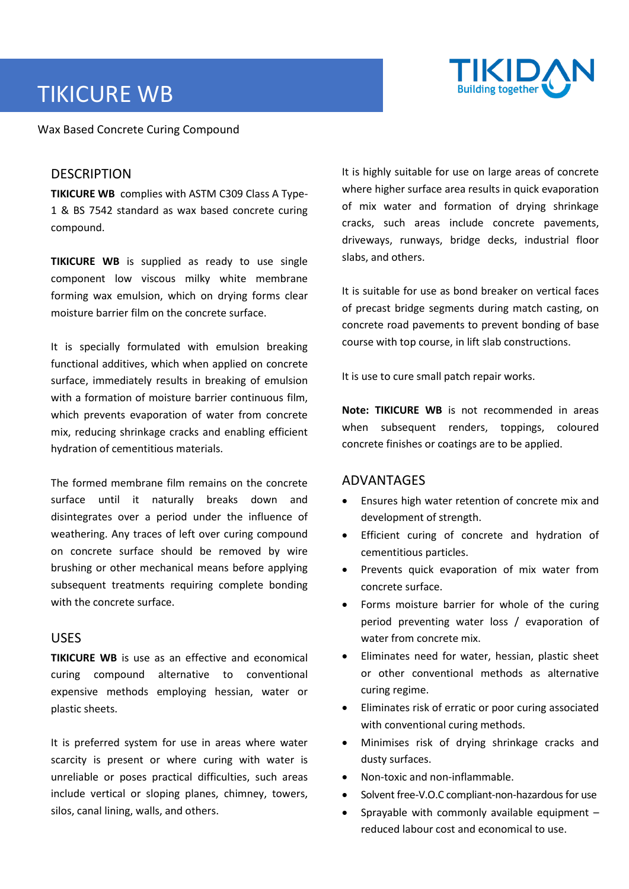# TIKICURE WB



Wax Based Concrete Curing Compound

# **DESCRIPTION**

**TIKICURE WB** complies with ASTM C309 Class A Type-1 & BS 7542 standard as wax based concrete curing compound.

**TIKICURE WB** is supplied as ready to use single component low viscous milky white membrane forming wax emulsion, which on drying forms clear moisture barrier film on the concrete surface.

It is specially formulated with emulsion breaking functional additives, which when applied on concrete surface, immediately results in breaking of emulsion with a formation of moisture barrier continuous film, which prevents evaporation of water from concrete mix, reducing shrinkage cracks and enabling efficient hydration of cementitious materials.

The formed membrane film remains on the concrete surface until it naturally breaks down and disintegrates over a period under the influence of weathering. Any traces of left over curing compound on concrete surface should be removed by wire brushing or other mechanical means before applying subsequent treatments requiring complete bonding with the concrete surface.

# USES

**TIKICURE WB** is use as an effective and economical curing compound alternative to conventional expensive methods employing hessian, water or plastic sheets.

It is preferred system for use in areas where water scarcity is present or where curing with water is unreliable or poses practical difficulties, such areas include vertical or sloping planes, chimney, towers, silos, canal lining, walls, and others.

It is highly suitable for use on large areas of concrete where higher surface area results in quick evaporation of mix water and formation of drying shrinkage cracks, such areas include concrete pavements, driveways, runways, bridge decks, industrial floor slabs, and others.

It is suitable for use as bond breaker on vertical faces of precast bridge segments during match casting, on concrete road pavements to prevent bonding of base course with top course, in lift slab constructions.

It is use to cure small patch repair works.

**Note: TIKICURE WB** is not recommended in areas when subsequent renders, toppings, coloured concrete finishes or coatings are to be applied.

# ADVANTAGES

- Ensures high water retention of concrete mix and development of strength.
- Efficient curing of concrete and hydration of cementitious particles.
- Prevents quick evaporation of mix water from concrete surface.
- Forms moisture barrier for whole of the curing period preventing water loss / evaporation of water from concrete mix.
- Eliminates need for water, hessian, plastic sheet or other conventional methods as alternative curing regime.
- Eliminates risk of erratic or poor curing associated with conventional curing methods.
- Minimises risk of drying shrinkage cracks and dusty surfaces.
- Non-toxic and non-inflammable.
- Solvent free-V.O.C compliant-non-hazardous for use
- Sprayable with commonly available equipment  $$ reduced labour cost and economical to use.